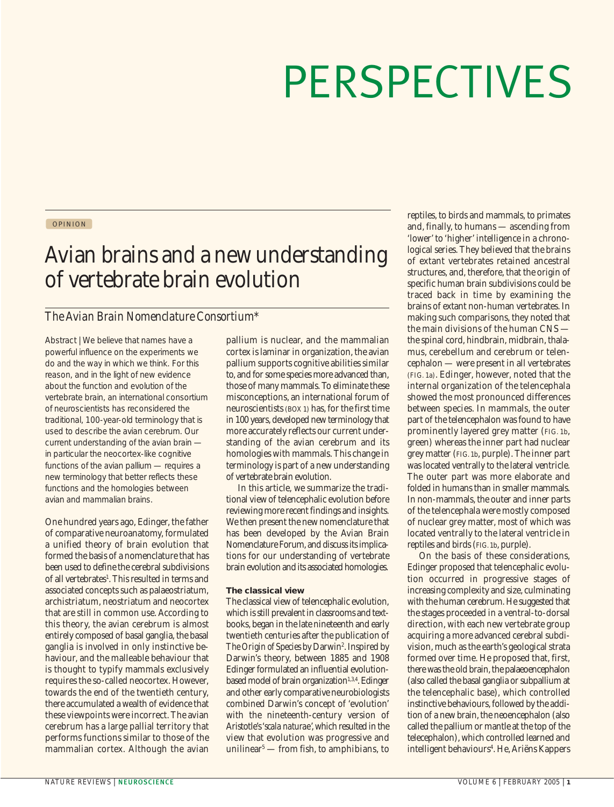# OPINION

# Avian brains and a new understanding of vertebrate brain evolution

# *The Avian Brain Nomenclature Consortium\**

Abstract | We believe that names have a powerful influence on the experiments we do and the way in which we think. For this reason, and in the light of new evidence about the function and evolution of the vertebrate brain, an international consortium of neuroscientists has reconsidered the traditional, 100-year-old terminology that is used to describe the avian cerebrum. Our current understanding of the avian brain in particular the neocortex-like cognitive functions of the avian pallium — requires a new terminology that better reflects these functions and the homologies between avian and mammalian brains.

One hundred years ago, Edinger, the father of comparative neuroanatomy, formulated a unified theory of brain evolution that formed the basis of a nomenclature that has been used to define the cerebral subdivisions of all vertebrates<sup>1</sup>. This resulted in terms and associated concepts such as palaeostriatum, archistriatum, neostriatum and neocortex that are still in common use. According to this theory, the avian cerebrum is almost entirely composed of basal ganglia, the basal ganglia is involved in only instinctive behaviour, and the malleable behaviour that is thought to typify mammals exclusively requires the so-called neocortex. However, towards the end of the twentieth century, there accumulated a wealth of evidence that these viewpoints were incorrect. The avian cerebrum has a large pallial territory that performs functions similar to those of the mammalian cortex. Although the avian

pallium is nuclear, and the mammalian cortex is laminar in organization, the avian pallium supports cognitive abilities similar to, and for some species more advanced than, those of many mammals. To eliminate these misconceptions, an international forum of neuroscientists (BOX 1) has, for the first time in 100 years, developed new terminology that more accurately reflects our current understanding of the avian cerebrum and its homologies with mammals. This change in terminology is part of a new understanding of vertebrate brain evolution.

In this article, we summarize the traditional view of telencephalic evolution before reviewing more recent findings and insights. We then present the new nomenclature that has been developed by the Avian Brain Nomenclature Forum, and discuss its implications for our understanding of vertebrate brain evolution and its associated homologies.

# **The classical view**

The classical view of telencephalic evolution, which is still prevalent in classrooms and textbooks, began in the late nineteenth and early twentieth centuries after the publication of The Origin of Species by Darwin<sup>2</sup>. Inspired by Darwin's theory, between 1885 and 1908 Edinger formulated an influential evolutionbased model of brain organization<sup>1,3,4</sup>. Edinger and other early comparative neurobiologists combined Darwin's concept of 'evolution' with the nineteenth-century version of Aristotle's '*scala naturae*', which resulted in the view that evolution was progressive and unilinear<sup>5</sup> — from fish, to amphibians, to

reptiles, to birds and mammals, to primates and, finally, to humans — ascending from 'lower' to 'higher' intelligence in a chronological series. They believed that the brains of extant vertebrates retained ancestral structures, and, therefore, that the origin of specific human brain subdivisions could be traced back in time by examining the brains of extant non-human vertebrates. In making such comparisons, they noted that the main divisions of the human CNS the spinal cord, hindbrain, midbrain, thalamus, cerebellum and cerebrum or telencephalon — were present in all vertebrates (FIG. 1a). Edinger, however, noted that the internal organization of the telencephala showed the most pronounced differences between species. In mammals, the outer part of the telencephalon was found to have prominently layered grey matter (FIG. 1b, green) whereas the inner part had nuclear grey matter (FIG. 1b, purple). The inner part was located ventrally to the lateral ventricle. The outer part was more elaborate and folded in humans than in smaller mammals. In non-mammals, the outer and inner parts of the telencephala were mostly composed of nuclear grey matter, most of which was located ventrally to the lateral ventricle in reptiles and birds (FIG. 1b, purple).

On the basis of these considerations, Edinger proposed that telencephalic evolution occurred in progressive stages of increasing complexity and size, culminating with the human cerebrum. He suggested that the stages proceeded in a ventral-to-dorsal direction, with each new vertebrate group acquiring a more advanced cerebral subdivision, much as the earth's geological strata formed over time. He proposed that, first, there was the old brain, the palaeoencephalon (also called the basal ganglia or subpallium at the telencephalic base), which controlled instinctive behaviours, followed by the addition of a new brain, the neoencephalon (also called the pallium or mantle at the top of the telecephalon), which controlled learned and intelligent behaviours<sup>4</sup>. He, Ariëns Kappers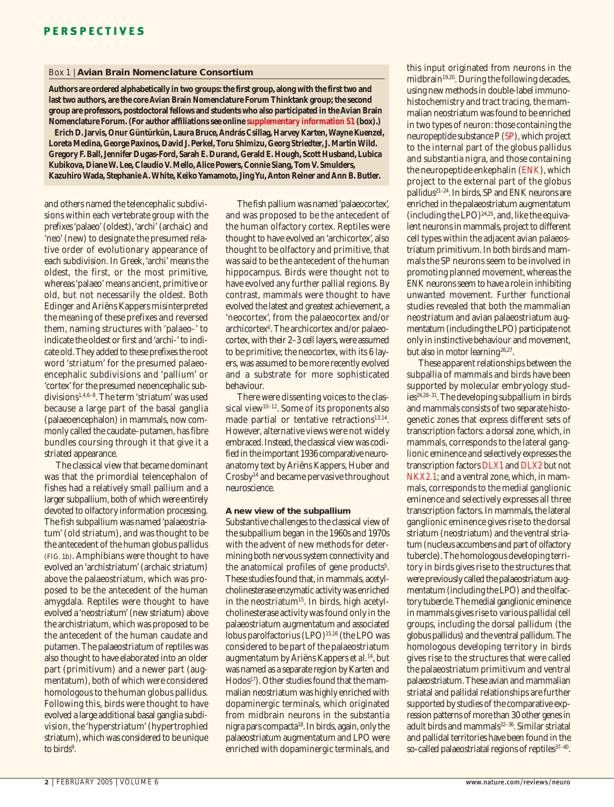# Box 1 | **Avian Brain Nomenclature Consortium**

**Authors are ordered alphabetically in two groups: the first group, along with the first two and last two authors, are the core Avian Brain Nomenclature Forum Thinktank group; the second group are professors, postdoctoral fellows and students who also participated in the Avian Brain Nomenclature Forum. (For author affiliations see online supplementary information S1 (box).)**

**Erich D. Jarvis, Onur Güntürkün, Laura Bruce, András Csillag, Harvey Karten, Wayne Kuenzel, Loreta Medina, George Paxinos, David J. Perkel, Toru Shimizu, Georg Striedter, J. Martin Wild. Gregory F. Ball, Jennifer Dugas-Ford, Sarah E. Durand, Gerald E. Hough, Scott Husband, Lubica Kubikova, Diane W. Lee, Claudio V. Mello, Alice Powers, Connie Siang, Tom V. Smulders, Kazuhiro Wada, Stephanie A. White, Keiko Yamamoto, Jing Yu, Anton Reiner and Ann B. Butler.**

and others named the telencephalic subdivisions within each vertebrate group with the prefixes 'palaeo' (oldest),'archi' (archaic) and 'neo' (new) to designate the presumed relative order of evolutionary appearance of each subdivision. In Greek,'archi' means the oldest, the first, or the most primitive, whereas 'palaeo' means ancient, primitive or old, but not necessarily the oldest. Both Edinger and Ariëns Kappers misinterpreted the meaning of these prefixes and reversed them, naming structures with 'palaeo-' to indicate the oldest or first and 'archi-' to indicate old. They added to these prefixes the root word 'striatum' for the presumed palaeoencephalic subdivisions and 'pallium' or 'cortex' for the presumed neoencephalic subdivisions1,4,6–8. The term 'striatum' was used because a large part of the basal ganglia (palaeoencephalon) in mammals, now commonly called the caudate–putamen, has fibre bundles coursing through it that give it a striated appearance.

The classical view that became dominant was that the primordial telencephalon of fishes had a relatively small pallium and a larger subpallium, both of which were entirely devoted to olfactory information processing. The fish subpallium was named 'palaeostriatum' (old striatum), and was thought to be the antecedent of the human globus pallidus (FIG. 1b). Amphibians were thought to have evolved an 'archistriatum' (archaic striatum) above the palaeostriatum, which was proposed to be the antecedent of the human amygdala. Reptiles were thought to have evolved a 'neostriatum' (new striatum) above the archistriatum, which was proposed to be the antecedent of the human caudate and putamen. The palaeostriatum of reptiles was also thought to have elaborated into an older part (primitivum) and a newer part (augmentatum), both of which were considered homologous to the human globus pallidus. Following this, birds were thought to have evolved a large additional basal ganglia subdivision, the 'hyperstriatum' (hypertrophied striatum), which was considered to be unique to birds<sup>9</sup>.

The fish pallium was named 'palaeocortex', and was proposed to be the antecedent of the human olfactory cortex. Reptiles were thought to have evolved an 'archicortex', also thought to be olfactory and primitive, that was said to be the antecedent of the human hippocampus. Birds were thought not to have evolved any further pallial regions. By contrast, mammals were thought to have evolved the latest and greatest achievement, a 'neocortex', from the palaeocortex and/or archicortex6 . The archicortex and/or palaeocortex, with their 2–3 cell layers, were assumed to be primitive; the neocortex, with its 6 layers, was assumed to be more recently evolved and a substrate for more sophisticated behaviour.

There were dissenting voices to the classical view<sup>10-12</sup>. Some of its proponents also made partial or tentative retractions<sup>13,14</sup>. However, alternative views were not widely embraced. Instead, the classical view was codified in the important 1936 comparative neuroanatomy text by Ariëns Kappers, Huber and Crosby14 and became pervasive throughout neuroscience.

#### **A new view of the subpallium**

Substantive challenges to the classical view of the subpallium began in the 1960s and 1970s with the advent of new methods for determining both nervous system connectivity and the anatomical profiles of gene products<sup>5</sup>. These studies found that, in mammals, acetylcholinesterase enzymatic activity was enriched in the neostriatum<sup>15</sup>. In birds, high acetylcholinesterase activity was found only in the palaeostriatum augmentatum and associated lobus parolfactorius (LPO)<sup>15,16</sup> (the LPO was considered to be part of the palaeostriatum augmentatum by Ariëns Kappers *et al.*14, but was named as a separate region by Karten and Hodos<sup>17</sup>). Other studies found that the mammalian neostriatum was highly enriched with dopaminergic terminals, which originated from midbrain neurons in the substantia nigra pars compacta18. In birds, again, only the palaeostriatum augmentatum and LPO were enriched with dopaminergic terminals, and

this input originated from neurons in the midbrain<sup>19,20</sup>. During the following decades, using new methods in double-label immunohistochemistry and tract tracing, the mammalian neostriatum was found to be enriched in two types of neuron: those containing the neuropeptide substance P (SP), which project to the internal part of the globus pallidus and substantia nigra, and those containing the neuropeptide enkephalin (*ENK*), which project to the external part of the globus pallidus21–24. In birds, SP and *ENK* neurons are enriched in the palaeostriatum augmentatum (including the LPO)24,25, and, like the equivalent neurons in mammals, project to different cell types within the adjacent avian palaeostriatum primitivum. In both birds and mammals the SP neurons seem to be involved in promoting planned movement, whereas the *ENK* neurons seem to have a role in inhibiting unwanted movement. Further functional studies revealed that both the mammalian neostriatum and avian palaeostriatum augmentatum (including the LPO) participate not only in instinctive behaviour and movement, but also in motor learning  $26,27$ .

These apparent relationships between the subpallia of mammals and birds have been supported by molecular embryology studies<sup>24,28–31</sup>. The developing subpallium in birds and mammals consists of two separate histogenetic zones that express different sets of transcription factors: a dorsal zone, which, in mammals, corresponds to the lateral ganglionic eminence and selectively expresses the transcription factors *DLX1* and *DLX2* but not *NKX2.1*; and a ventral zone, which, in mammals, corresponds to the medial ganglionic eminence and selectively expresses all three transcription factors. In mammals, the lateral ganglionic eminence gives rise to the dorsal striatum (neostriatum) and the ventral striatum (nucleus accumbens and part of olfactory tubercle). The homologous developing territory in birds gives rise to the structures that were previously called the palaeostriatum augmentatum (including the LPO) and the olfactory tubercle. The medial ganglionic eminence in mammals gives rise to various pallidal cell groups, including the dorsal pallidum (the globus pallidus) and the ventral pallidum. The homologous developing territory in birds gives rise to the structures that were called the palaeostriatum primitivum and ventral palaeostriatum. These avian and mammalian striatal and pallidal relationships are further supported by studies of the comparative expression patterns of more than 30 other genes in adult birds and mammals<sup>32-36</sup>. Similar striatal and pallidal territories have been found in the so-called palaeostriatal regions of reptiles<sup>37-40</sup>.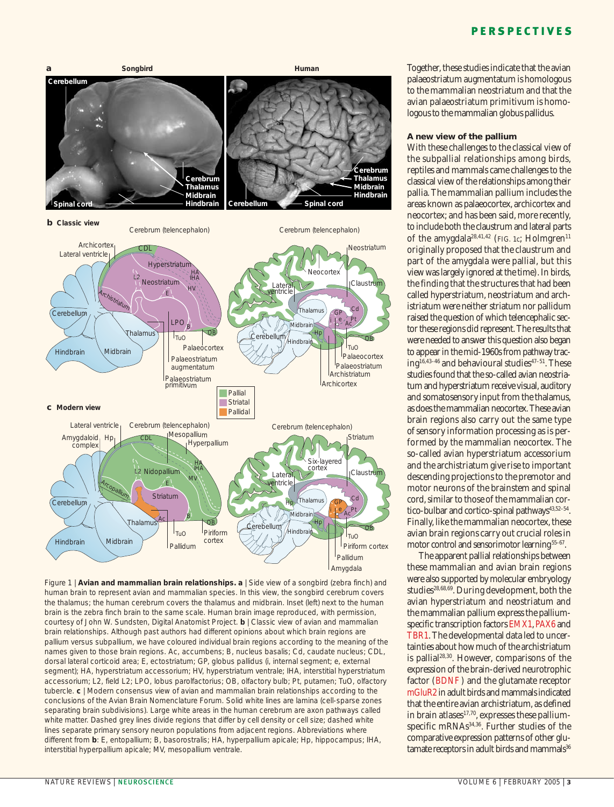



Figure 1 | Avian and mammalian brain relationships. a | Side view of a songbird (zebra finch) and human brain to represent avian and mammalian species. In this view, the songbird cerebrum covers the thalamus; the human cerebrum covers the thalamus and midbrain. Inset (left) next to the human brain is the zebra finch brain to the same scale. Human brain image reproduced, with permission, courtesy of John W. Sundsten, Digital Anatomist Project. **b** | Classic view of avian and mammalian brain relationships. Although past authors had different opinions about which brain regions are pallium versus subpallium, we have coloured individual brain regions according to the meaning of the names given to those brain regions. Ac, accumbens; B, nucleus basalis; Cd, caudate nucleus; CDL, dorsal lateral corticoid area; E, ectostriatum; GP, globus pallidus (i, internal segment; e, external segment); HA, hyperstriatum accessorium; HV, hyperstriatum ventrale; IHA, interstitial hyperstriatum accessorium; L2, field L2; LPO, lobus parolfactorius; OB, olfactory bulb; Pt, putamen; TuO, olfactory tubercle. **c** | Modern consensus view of avian and mammalian brain relationships according to the conclusions of the Avian Brain Nomenclature Forum. Solid white lines are lamina (cell-sparse zones separating brain subdivisions). Large white areas in the human cerebrum are axon pathways called white matter. Dashed grey lines divide regions that differ by cell density or cell size; dashed white lines separate primary sensory neuron populations from adjacent regions. Abbreviations where different from **b**: E, entopallium; B, basorostralis; HA, hyperpallium apicale; Hp, hippocampus; IHA, interstitial hyperpallium apicale; MV, mesopallium ventrale.

Together, these studies indicate that the avian palaeostriatum augmentatum is homologous to the mammalian neostriatum and that the avian palaeostriatum primitivum is homologous to the mammalian globus pallidus.

## **A new view of the pallium**

With these challenges to the classical view of the subpallial relationships among birds, reptiles and mammals came challenges to the classical view of the relationships among their pallia. The mammalian pallium includes the areas known as palaeocortex, archicortex and neocortex; and has been said, more recently, to include both the claustrum and lateral parts of the amygdala<sup>28,41,42</sup> (FIG. 1c; Holmgren<sup>11</sup> originally proposed that the claustrum and part of the amygdala were pallial, but this view was largely ignored at the time). In birds, the finding that the structures that had been called hyperstriatum, neostriatum and archistriatum were neither striatum nor pallidum raised the question of which telencephalic sector these regions did represent. The results that were needed to answer this question also began to appear in the mid-1960s from pathway tracing<sup>16,43–46</sup> and behavioural studies<sup>47–51</sup>. These studies found that the so-called avian neostriatum and hyperstriatum receive visual, auditory and somatosensory input from the thalamus, as does the mammalian neocortex. These avian brain regions also carry out the same type of sensory information processing as is performed by the mammalian neocortex. The so-called avian hyperstriatum accessorium and the archistriatum give rise to important descending projections to the premotor and motor neurons of the brainstem and spinal cord, similar to those of the mammalian cortico-bulbar and cortico-spinal pathways<sup>43,52-54</sup>. Finally, like the mammalian neocortex, these avian brain regions carry out crucial roles in motor control and sensorimotor learning<sup>55-67</sup>.

The apparent pallial relationships between these mammalian and avian brain regions were also supported by molecular embryology studies<sup>28,68,69</sup>. During development, both the avian hyperstriatum and neostriatum and the mammalian pallium express the palliumspecific transcription factors *EMX1*,*PAX6* and *TBR1*. The developmental data led to uncertainties about how much of the archistriatum is pallial<sup>28,30</sup>. However, comparisons of the expression of the brain-derived neurotrophic factor (*BDNF* ) and the glutamate receptor *mGluR2* in adult birds and mammals indicated that the entire avian archistriatum, as defined in brain atlases<sup>17,70</sup>, expresses these palliumspecific mRNAs<sup>34,36</sup>. Further studies of the comparative expression patterns of other glutamate receptors in adult birds and mammals<sup>36</sup>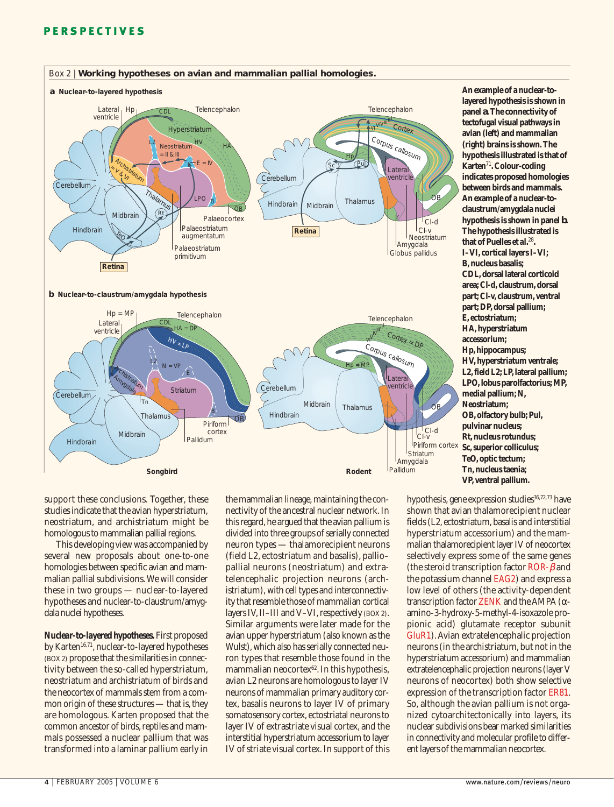



**An example of a nuclear-tolayered hypothesis is shown in panel a.The connectivity of tectofugal visual pathways in avian (left) and mammalian (right) brains is shown. The hypothesis illustrated is that of Karten**<sup>71</sup>**. Colour-coding indicates proposed homologies between birds and mammals. An example of a nuclear-toclaustrum/amygdala nuclei hypothesis is shown in panel b. The hypothesis illustrated is that of Puelles** *et al.*<sup>28</sup>**. I–VI, cortical layers I–VI; B, nucleus basalis; CDL, dorsal lateral corticoid area; Cl-d, claustrum, dorsal part; Cl-v, claustrum, ventral part; DP, dorsal pallium; E, ectostriatum; HA, hyperstriatum accessorium; Hp, hippocampus; HV, hyperstriatum ventrale; L2, field L2; LP, lateral pallium; LPO, lobus parolfactorius; MP, medial pallium; N, Neostriatum; OB, olfactory bulb; Pul, pulvinar nucleus; Rt, nucleus rotundus; Sc, superior colliculus; TeO, optic tectum; Tn, nucleus taenia; VP, ventral pallium.**

support these conclusions. Together, these studies indicate that the avian hyperstriatum, neostriatum, and archistriatum might be homologous to mammalian pallial regions.

This developing view was accompanied by several new proposals about one-to-one homologies between specific avian and mammalian pallial subdivisions. We will consider these in two groups — nuclear-to-layered hypotheses and nuclear-to-claustrum/amygdala nuclei hypotheses.

*Nuclear-to-layered hypotheses.* First proposed by Karten<sup>16,71</sup>, nuclear-to-layered hypotheses (BOX 2) propose that the similarities in connectivity between the so-called hyperstriatum, neostriatum and archistriatum of birds and the neocortex of mammals stem from a common origin of these structures — that is, they are homologous. Karten proposed that the common ancestor of birds, reptiles and mammals possessed a nuclear pallium that was transformed into a laminar pallium early in the mammalian lineage, maintaining the connectivity of the ancestral nuclear network. In this regard, he argued that the avian pallium is divided into three groups of serially connected neuron types — thalamorecipient neurons (field L2, ectostriatum and basalis), pallio– pallial neurons (neostriatum) and extratelencephalic projection neurons (archistriatum), with cell types and interconnectivity that resemble those of mammalian cortical layers IV, II–III and V–VI, respectively (BOX 2). Similar arguments were later made for the avian upper hyperstriatum (also known as the Wulst), which also has serially connected neuron types that resemble those found in the mammalian neocortex $62$ . In this hypothesis, avian L2 neurons are homologous to layer IV neurons of mammalian primary auditory cortex, basalis neurons to layer IV of primary somatosensory cortex, ectostriatal neurons to layer IV of extrastriate visual cortex, and the interstitial hyperstriatum accessorium to layer IV of striate visual cortex. In support of this

hypothesis, gene expression studies<sup>36,72,73</sup> have shown that avian thalamorecipient nuclear fields (L2, ectostriatum, basalis and interstitial hyperstriatum accessorium) and the mammalian thalamorecipient layer IV of neocortex selectively express some of the same genes (the steroid transcription factor *ROR-*β and the potassium channel *EAG2*) and express a low level of others (the activity-dependent transcription factor *ZENK* and the AMPA (αamino-3-hydroxy-5-methyl-4-isoxazole propionic acid) glutamate receptor subunit *GluR1*). Avian extratelencephalic projection neurons (in the archistriatum, but not in the hyperstriatum accessorium) and mammalian extratelencephalic projection neurons (layer V neurons of neocortex) both show selective expression of the transcription factor *ER81*. So, although the avian pallium is not organized cytoarchitectonically into layers, its nuclear subdivisions bear marked similarities in connectivity and molecular profile to different layers of the mammalian neocortex.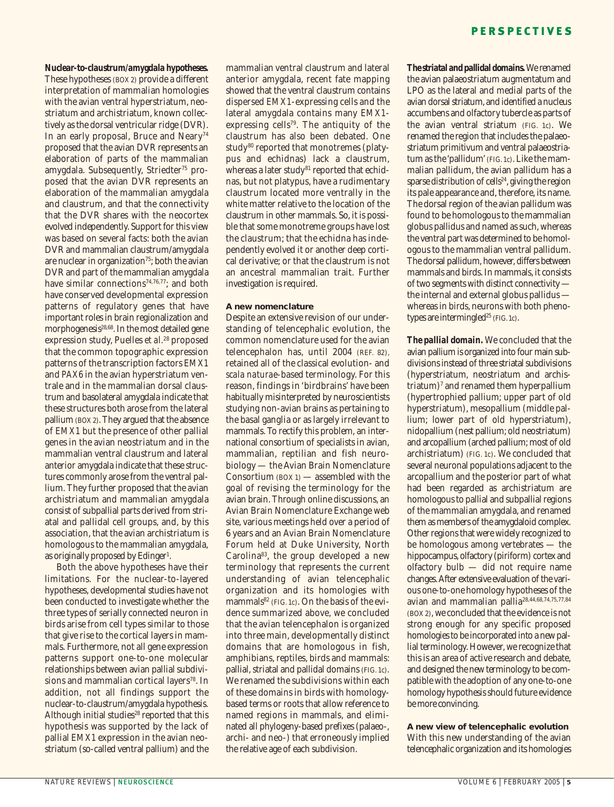*Nuclear-to-claustrum/amygdala hypotheses.* These hypotheses (BOX 2) provide a different interpretation of mammalian homologies with the avian ventral hyperstriatum, neostriatum and archistriatum, known collectively as the dorsal ventricular ridge (DVR). In an early proposal, Bruce and Neary<sup>74</sup> proposed that the avian DVR represents an elaboration of parts of the mammalian amygdala. Subsequently, Striedter<sup>75</sup> proposed that the avian DVR represents an elaboration of the mammalian amygdala and claustrum, and that the connectivity that the DVR shares with the neocortex evolved independently. Support for this view was based on several facts: both the avian DVR and mammalian claustrum/amygdala are nuclear in organization<sup>75</sup>; both the avian DVR and part of the mammalian amygdala have similar connections<sup>74,76,77</sup>; and both have conserved developmental expression patterns of regulatory genes that have important roles in brain regionalization and morphogenesis<sup>28,68</sup>. In the most detailed gene expression study, Puelles *et al.*<sup>28</sup> proposed that the common topographic expression patterns of the transcription factors *EMX1* and *PAX6* in the avian hyperstriatum ventrale and in the mammalian dorsal claustrum and basolateral amygdala indicate that these structures both arose from the lateral pallium (BOX 2). They argued that the absence of *EMX1* but the presence of other pallial genes in the avian neostriatum and in the mammalian ventral claustrum and lateral anterior amygdala indicate that these structures commonly arose from the ventral pallium. They further proposed that the avian archistriatum and mammalian amygdala consist of subpallial parts derived from striatal and pallidal cell groups, and, by this association, that the avian archistriatum is homologous to the mammalian amygdala, as originally proposed by Edinger<sup>1</sup>.

Both the above hypotheses have their limitations. For the nuclear-to-layered hypotheses, developmental studies have not been conducted to investigate whether the three types of serially connected neuron in birds arise from cell types similar to those that give rise to the cortical layers in mammals. Furthermore, not all gene expression patterns support one-to-one molecular relationships between avian pallial subdivisions and mammalian cortical layers<sup>78</sup>. In addition, not all findings support the nuclear-to-claustrum/amygdala hypothesis. Although initial studies<sup>28</sup> reported that this hypothesis was supported by the lack of pallial *EMX1* expression in the avian neostriatum (so-called ventral pallium) and the

mammalian ventral claustrum and lateral anterior amygdala, recent fate mapping showed that the ventral claustrum contains dispersed *EMX1*-expressing cells and the lateral amygdala contains many *EMX1* expressing cells<sup>79</sup>. The antiquity of the claustrum has also been debated. One study<sup>80</sup> reported that monotremes (platypus and echidnas) lack a claustrum, whereas a later study<sup>81</sup> reported that echidnas, but not platypus, have a rudimentary claustrum located more ventrally in the white matter relative to the location of the claustrum in other mammals. So, it is possible that some monotreme groups have lost the claustrum; that the echidna has independently evolved it or another deep cortical derivative; or that the claustrum is not an ancestral mammalian trait. Further investigation is required.

# **A new nomenclature**

Despite an extensive revision of our understanding of telencephalic evolution, the common nomenclature used for the avian telencephalon has, until 2004 (REF. 82), retained all of the classical evolution- and *scala naturae*-based terminology. For this reason, findings in 'birdbrains' have been habitually misinterpreted by neuroscientists studying non-avian brains as pertaining to the basal ganglia or as largely irrelevant to mammals. To rectify this problem, an international consortium of specialists in avian, mammalian, reptilian and fish neurobiology — the Avian Brain Nomenclature Consortium (BOX 1) — assembled with the goal of revising the terminology for the avian brain. Through online discussions, an Avian Brain Nomenclature Exchange web site, various meetings held over a period of 6 years and an Avian Brain Nomenclature Forum held at Duke University, North Carolina83, the group developed a new terminology that represents the current understanding of avian telencephalic organization and its homologies with mammals<sup>82</sup> (FIG. 1c). On the basis of the evidence summarized above, we concluded that the avian telencephalon is organized into three main, developmentally distinct domains that are homologous in fish, amphibians, reptiles, birds and mammals: pallial, striatal and pallidal domains (FIG. 1c). We renamed the subdivisions within each of these domains in birds with homologybased terms or roots that allow reference to named regions in mammals, and eliminated all phylogeny-based prefixes (palaeo-, archi- and neo-) that erroneously implied the relative age of each subdivision.

*The striatal and pallidal domains.*We renamed the avian palaeostriatum augmentatum and LPO as the lateral and medial parts of the avian dorsal striatum, and identified a nucleus accumbens and olfactory tubercle as parts of the avian ventral striatum (FIG. 1c). We renamed the region that includes the palaeostriatum primitivum and ventral palaeostriatum as the 'pallidum'(FIG. 1c). Like the mammalian pallidum, the avian pallidum has a sparse distribution of cells<sup>24</sup>, giving the region its pale appearance and, therefore, its name. The dorsal region of the avian pallidum was found to be homologous to the mammalian globus pallidus and named as such, whereas the ventral part was determined to be homologous to the mammalian ventral pallidum. The dorsal pallidum, however, differs between mammals and birds. In mammals, it consists of two segments with distinct connectivity the internal and external globus pallidus whereas in birds, neurons with both phenotypes are intermingled $25$  (FIG. 1c).

*The pallial domain.* We concluded that the avian pallium is organized into four main subdivisions instead of three striatal subdivisions (hyperstriatum, neostriatum and archistriatum)<sup>7</sup> and renamed them hyperpallium (hypertrophied pallium; upper part of old hyperstriatum), mesopallium (middle pallium; lower part of old hyperstriatum), nidopallium (nest pallium; old neostriatum) and arcopallium (arched pallium; most of old archistriatum) (FIG. 1c). We concluded that several neuronal populations adjacent to the arcopallium and the posterior part of what had been regarded as archistriatum are homologous to pallial and subpallial regions of the mammalian amygdala, and renamed them as members of the amygdaloid complex. Other regions that were widely recognized to be homologous among vertebrates — the hippocampus, olfactory (piriform) cortex and olfactory bulb — did not require name changes.After extensive evaluation of the various one-to-one homology hypotheses of the avian and mammalian pallia28,44,68,74,75,77,84 (BOX 2), we concluded that the evidence is not strong enough for any specific proposed homologies to be incorporated into a new pallial terminology. However, we recognize that this is an area of active research and debate, and designed the new terminology to be compatible with the adoption of any one-to-one homology hypothesis should future evidence be more convincing.

**A new view of telencephalic evolution** With this new understanding of the avian telencephalic organization and its homologies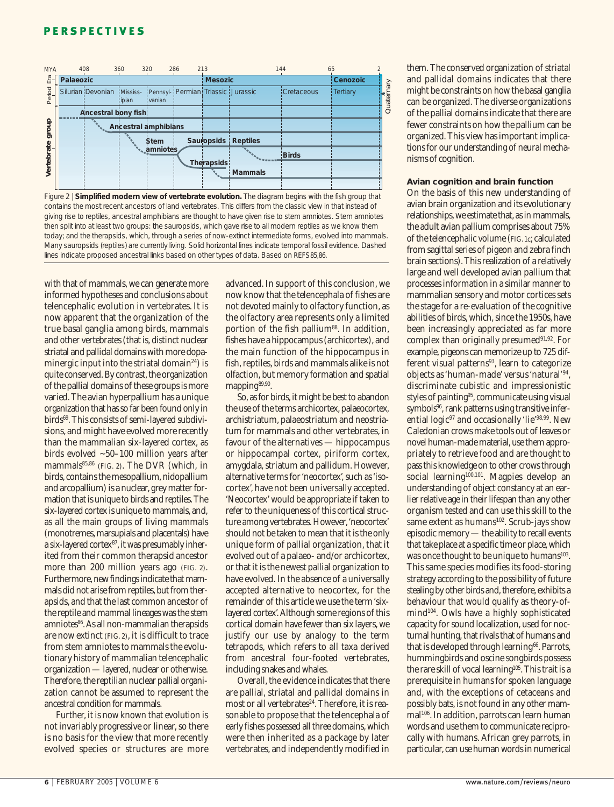

Figure 2 | **Simplified modern view of vertebrate evolution.** The diagram begins with the fish group that contains the most recent ancestors of land vertebrates. This differs from the classic view in that instead of giving rise to reptiles, ancestral amphibians are thought to have given rise to stem amniotes. Stem amniotes then split into at least two groups: the sauropsids, which gave rise to all modern reptiles as we know them today; and the therapsids, which, through a series of now-extinct intermediate forms, evolved into mammals. Many sauropsids (reptiles) are currently living. Solid horizontal lines indicate temporal fossil evidence. Dashed lines indicate proposed ancestral links based on other types of data. Based on REFS 85,86.

with that of mammals, we can generate more informed hypotheses and conclusions about telencephalic evolution in vertebrates. It is now apparent that the organization of the true basal ganglia among birds, mammals and other vertebrates (that is, distinct nuclear striatal and pallidal domains with more dopaminergic input into the striatal domain<sup>24</sup>) is quite conserved. By contrast, the organization of the pallial domains of these groups is more varied. The avian hyperpallium has a unique organization that has so far been found only in birds69. This consists of semi-layered subdivisions, and might have evolved more recently than the mammalian six-layered cortex, as birds evolved ~50–100 million years after mammals<sup>85,86</sup> (FIG. 2). The DVR (which, in birds, contains the mesopallium, nidopallium and arcopallium) is a nuclear, grey matter formation that is unique to birds and reptiles. The six-layered cortex is unique to mammals, and, as all the main groups of living mammals (monotremes, marsupials and placentals) have a six-layered cortex $87$ , it was presumably inherited from their common therapsid ancestor more than 200 million years ago (FIG. 2). Furthermore, new findings indicate that mammals did not arise from reptiles, but from therapsids, and that the last common ancestor of the reptile and mammal lineages was the stem amniotes<sup>86</sup>. As all non-mammalian therapsids are now extinct (FIG. 2), it is difficult to trace from stem amniotes to mammals the evolutionary history of mammalian telencephalic organization — layered, nuclear or otherwise. Therefore, the reptilian nuclear pallial organization cannot be assumed to represent the ancestral condition for mammals.

Further, it is now known that evolution is not invariably progressive or linear, so there is no basis for the view that more recently evolved species or structures are more

advanced. In support of this conclusion, we now know that the telencephala of fishes are not devoted mainly to olfactory function, as the olfactory area represents only a limited portion of the fish pallium<sup>88</sup>. In addition, fishes have a hippocampus (archicortex), and the main function of the hippocampus in fish, reptiles, birds and mammals alike is not olfaction, but memory formation and spatial mapping<sup>89,90</sup>.

So, as for birds, it might be best to abandon the use of the terms archicortex, palaeocortex, archistriatum, palaeostriatum and neostriatum for mammals and other vertebrates, in favour of the alternatives — hippocampus or hippocampal cortex, piriform cortex, amygdala, striatum and pallidum. However, alternative terms for 'neocortex', such as 'isocortex', have not been universally accepted. 'Neocortex' would be appropriate if taken to refer to the uniqueness of this cortical structure among vertebrates. However,'neocortex' should not be taken to mean that it is the only unique form of pallial organization, that it evolved out of a palaeo- and/or archicortex, or that it is the newest pallial organization to have evolved. In the absence of a universally accepted alternative to neocortex, for the remainder of this article we use the term 'sixlayered cortex'. Although some regions of this cortical domain have fewer than six layers, we justify our use by analogy to the term tetrapods, which refers to all taxa derived from ancestral four-footed vertebrates, including snakes and whales.

Overall, the evidence indicates that there are pallial, striatal and pallidal domains in most or all vertebrates<sup>24</sup>. Therefore, it is reasonable to propose that the telencephala of early fishes possessed all three domains, which were then inherited as a package by later vertebrates, and independently modified in

them. The conserved organization of striatal and pallidal domains indicates that there might be constraints on how the basal ganglia can be organized. The diverse organizations of the pallial domains indicate that there are fewer constraints on how the pallium can be organized. This view has important implications for our understanding of neural mechanisms of cognition.

#### **Avian cognition and brain function**

On the basis of this new understanding of avian brain organization and its evolutionary relationships, we estimate that, as in mammals, the adult avian pallium comprises about 75% of the telencephalic volume (FIG. 1c; calculated from sagittal series of pigeon and zebra finch brain sections). This realization of a relatively large and well developed avian pallium that processes information in a similar manner to mammalian sensory and motor cortices sets the stage for a re-evaluation of the cognitive abilities of birds, which, since the 1950s, have been increasingly appreciated as far more complex than originally presumed $91.92$ . For example, pigeons can memorize up to 725 different visual patterns<sup>93</sup>, learn to categorize objects as 'human-made' versus 'natural'94, discriminate cubistic and impressionistic styles of painting<sup>95</sup>, communicate using visual symbols<sup>96</sup>, rank patterns using transitive inferential logic<sup>97</sup> and occasionally 'lie'<sup>98,99</sup>. New Caledonian crows make tools out of leaves or novel human-made material, use them appropriately to retrieve food and are thought to pass this knowledge on to other crows through social learning<sup>100,101</sup>. Magpies develop an understanding of object constancy at an earlier relative age in their lifespan than any other organism tested and can use this skill to the same extent as humans<sup>102</sup>. Scrub-jays show episodic memory — the ability to recall events that take place at a specific time or place, which was once thought to be unique to humans<sup>103</sup>. This same species modifies its food-storing strategy according to the possibility of future stealing by other birds and, therefore, exhibits a behaviour that would qualify as theory-ofmind<sup>104</sup>. Owls have a highly sophisticated capacity for sound localization, used for nocturnal hunting, that rivals that of humans and that is developed through learning<sup>66</sup>. Parrots, hummingbirds and oscine songbirds possess the rare skill of vocal learning<sup>105</sup>. This trait is a prerequisite in humans for spoken language and, with the exceptions of cetaceans and possibly bats, is not found in any other mammal<sup>106</sup>. In addition, parrots can learn human words and use them to communicate reciprocally with humans. African grey parrots, in particular, can use human words in numerical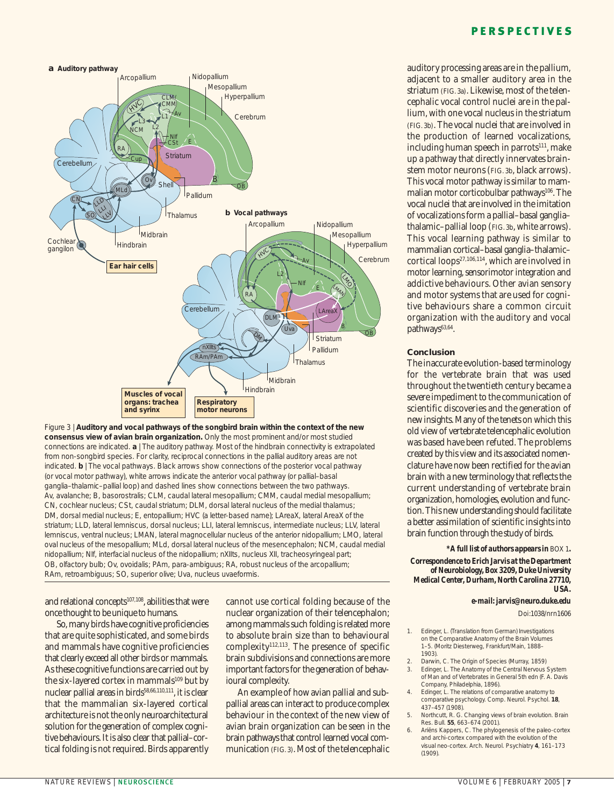



and relational concepts $107,108$ , abilities that were once thought to be unique to humans.

So, many birds have cognitive proficiencies that are quite sophisticated, and some birds and mammals have cognitive proficiencies that clearly exceed all other birds or mammals. Asthese cognitive functions are carried out by the six-layered cortex in mammals<sup>109</sup> but by nuclear pallial areas in birds<sup>58,66,110,111</sup>, it is clear that the mammalian six-layered cortical architecture is not the only neuroarchitectural solution for the generation of complex cognitive behaviours. It is also clear that pallial–cortical folding is not required. Birds apparently

cannot use cortical folding because of the nuclear organization of their telencephalon; among mammals such folding is related more to absolute brain size than to behavioural complexity $112,113$ . The presence of specific brain subdivisions and connections are more important factors for the generation of behavioural complexity.

An example of how avian pallial and subpallial areas can interact to produce complex behaviour in the context of the new view of avian brain organization can be seen in the brain pathways that control learned vocal communication (FIG. 3). Most of the telencephalic

auditory processing areas are in the pallium, adjacent to a smaller auditory area in the striatum (FIG. 3a). Likewise, most of the telencephalic vocal control nuclei are in the pallium, with one vocal nucleus in the striatum (FIG. 3b). The vocal nuclei that are involved in the production of learned vocalizations, including human speech in parrots<sup>111</sup>, make up a pathway that directly innervates brainstem motor neurons (FIG. 3b, black arrows). This vocal motor pathway is similar to mammalian motor corticobulbar pathways<sup>106</sup>. The vocal nuclei that are involved in the imitation of vocalizations form a pallial–basal ganglia– thalamic–pallial loop (FIG. 3b, white arrows). This vocal learning pathway is similar to mammalian cortical–basal ganglia–thalamic– cortical loops27,106,114, which are involved in motor learning, sensorimotor integration and addictive behaviours. Other avian sensory and motor systems that are used for cognitive behaviours share a common circuit organization with the auditory and vocal pathways<sup>63,64</sup>.

## **Conclusion**

The inaccurate evolution-based terminology for the vertebrate brain that was used throughout the twentieth century became a severe impediment to the communication of scientific discoveries and the generation of new insights. Many of the tenets on which this old view of vertebrate telencephalic evolution was based have been refuted. The problems created by this view and its associated nomenclature have now been rectified for the avian brain with a new terminology that reflects the current understanding of vertebrate brain organization, homologies, evolution and function. This new understanding should facilitate a better assimilation of scientific insights into brain function through the study of birds.

#### *\*A full list of authors appears in* BOX 1*.*

*Correspondence to Erich Jarvis at the Department of Neurobiology, Box 3209, Duke University Medical Center, Durham, North Carolina 27710, USA.*

*e-mail: jarvis@neuro.duke.edu*

Doi:1038/nrn1606

- 1. Edinger, L. (Translation from German) *Investigations on the Comparative Anatomy of the Brain* Volumes 1–5. (Moritz Diesterweg, Frankfurt/Main, 1888– 1903).
- 2. Darwin, C. *The Origin of Species* (Murray, 1859)
- 3. Edinger, L. *The Anatomy of the Central Nervous System of Man and of Vertebrates in General* 5th edn (F. A. Davis Company, Philadelphia, 1896). 4. Edinger, L. The relations of comparative anatomy to
- comparative psychology. *Comp. Neurol. Psychol.* **18**, 437–457 (1908).
- 5. Northcutt, R. G. Changing views of brain evolution. *Brain Res. Bull.* **55**, 663–674 (2001).
- 6. Ariëns Kappers, C. The phylogenesis of the paleo-cortex and archi-cortex compared with the evolution of the visual neo-cortex. *Arch. Neurol. Psychiatry* **4**, 161–173  $(1909)$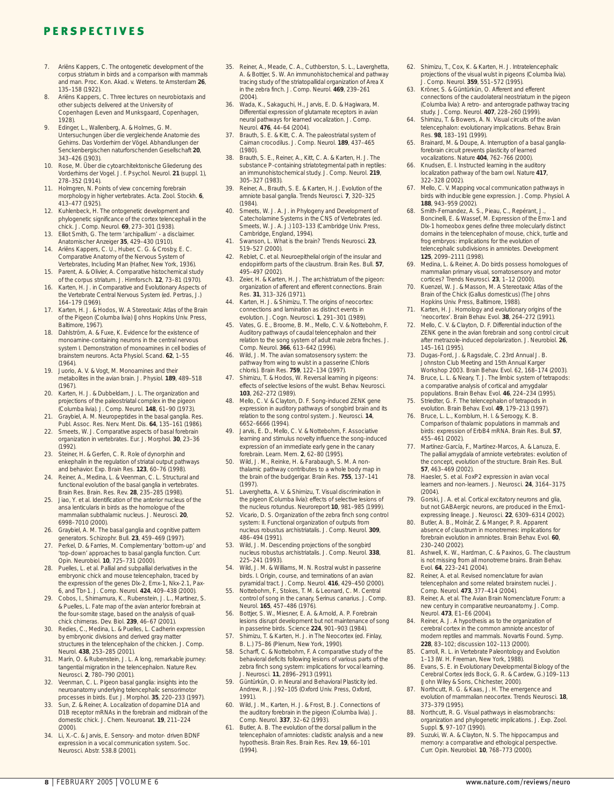- 7. Ariëns Kappers, C. The ontogenetic development of the corpus striatum in birds and a comparison with mammals and man. *Proc. Kon. Akad. v. Wetens. te Amsterdam* **26**, 135–158 (1922).
- 8. Ariëns Kappers, C. Three lectures on neurobiotaxis and other subjects delivered at the University of Copenhagen (Leven and Munksgaard, Copenhagen, 1928).
- 9. Edinger, L., Wallenberg, A. & Holmes, G. M. Untersuchungen über die vergleichende Anatomie des Gehirns. Das Vorderhirn der Vögel. *Abhandlungen der Senckenbergischen naturforschenden Gesellschaft* **20**, 343–426 (1903).
- 10. Rose, M. Über die cytoarchitektonische Gliederung des Vorderhirns der Vogel. *J. f. Psychol. Neurol.* **21** (suppl. 1), 278–352 (1914).
- 11. Holmgren, N. Points of view concerning forebrain morphology in higher vertebrates. *Acta. Zool. Stockh.* **6**, 413–477 (1925).
- 12. Kuhlenbeck, H. The ontogenetic development and phylogenetic significance of the cortex telencephali in the chick. *J. Comp. Neurol.* **69**, 273–301 (1938).
- 13. Elliot Smith, G. The term 'archipallium' a disclaimer. *Anatomischer Anzeiger* **35**, 429–430 (1910).
- 14. Ariëns Kappers, C. U., Huber, C. G. & Crosby, E. C. *Comparative Anatomy of the Nervous System of Vertebrates, Including Man* (Hafner, New York, 1936). 15. Parent, A. & Olivier, A. Comparative histochemical study
- of the corpus striatum. *J. Hirnforsch.* **12**, 73–81 (1970).
- 16. Karten, H. J. in *Comparative and Evolutionary Aspects of the Vertebrate Central Nervous System* (ed. Pertras, J.) 164–179 (1969).
- 17. Karten, H. J. & Hodos, W. *A Stereotaxic Atlas of the Brain of the Pigeon (Columba livia)* (Johns Hopkins Univ. Press, Baltimore, 1967).
- 18. Dahlström, A. & Fuxe, K. Evidence for the existence of monoamine-containing neurons in the central nervous system I. Demonstration of monoamines in cell bodies of brainstem neurons. *Acta Physiol. Scand.* **62**, 1–55  $(1964)$
- 19. Juorio, A. V. & Vogt, M. Monoamines and their metabolites in the avian brain. *J. Physiol.* **189**, 489–518 (1967).
- 20. Karten, H. J. & Dubbeldam, J. L. The organization and projections of the paleostriatal complex in the pigeon (*Columba livia*). *J. Comp. Neurol.* **148**, 61–90 (1973).
- 21. Graybiel, A. M. Neuropeptides in the basal ganglia. *Res. Publ. Assoc. Res. Nerv. Ment. Dis.* **64**, 135–161 (1986).
- 22. Smeets, W. J. Comparative aspects of basal forebrain organization in vertebrates. *Eur. J. Morphol.* **30**, 23–36 (1992).
- 23. Steiner, H. & Gerfen, C. R. Role of dynorphin and enkephalin in the regulation of striatal output pathways and behavior. *Exp. Brain Res.* **123**, 60–76 (1998).
- 24. Reiner, A., Medina, L. & Veenman, C. L. Structural and functional evolution of the basal ganglia in vertebrates. Brain Res. Brain. Res. Rev. **28**, 235–285 (1998).
- 25. Jiao, Y. *et al.* Identification of the anterior nucleus of the ansa lenticularis in birds as the homologue of the mammalian subthalamic nucleus. *J. Neurosci.* **20**, 6998–7010 (2000).
- 26. Graybiel, A. M. The basal ganglia and cognitive pattern generators. Schizophr. Bull. **23**, 459–469 (1997).
- 27. Perkel, D. & Farries, M. Complementary 'bottom-up' and 'top-down' approaches to basal ganglia function. *Curr.*
- *Opin. Neurobiol.* **10**, 725–731 (2000). 28. Puelles, L. *et al.* Pallial and subpallial derivatives in the embryonic chick and mouse telencephalon, traced by the expression of the genes *Dlx-2*, *Emx-1*, *Nkx-2.1*, *Pax-6*, and *Tbr-1*. *J. Comp. Neurol.* **424**, 409–438 (2000).
- 29. Cobos, I., Shimamura, K., Rubenstein, J. L., Martinez, S. & Puelles, L. Fate map of the avian anterior forebrain at the four-somite stage, based on the analysis of quailchick chimeras. *Dev. Biol.* **239**, 46–67 (2001).
- 30. Redies, C., Medina, L. & Puelles, L. Cadherin expression by embryonic divisions and derived gray matter structures in the telencephalon of the chicken. *J. Comp. Neurol.* **438**, 253–285 (2001).
- 31. Marín, O. & Rubenstein, J. L. A long, remarkable journey: tangential migration in the telencephalon. *Nature Rev. Neurosci.* **2**, 780–790 (2001).
- 32. Veenman, C. L. Pigeon basal ganglia: insights into the neuroanatomy underlying telencephalic sensorimotor processes in birds. *Eur. J. Morphol.* **35**, 220–233 (1997).
- 33. Sun, Z. & Reiner, A. Localization of dopamine D1A and D1B receptor mRNAs in the forebrain and midbrain of the domestic chick. *J. Chem. Neuroanat.* **19**, 211–224  $(2000)$
- 34. Li, X.-C. & Jarvis, E. Sensory- and motor- driven BDNF expression in a vocal communication system. *Soc. Neurosci. Abstr.* 538.8 (2001).
- 35. Reiner, A., Meade, C. A., Cuthberston, S. L., Laverghetta, A. & Bottjer, S. W. An immunohistochemical and pathway tracing study of the striatopallidal organization of Area X in the zebra finch. *J. Comp. Neurol.* **469**, 239–261  $(2004)$
- 36. Wada, K., Sakaguchi, H., Jarvis, E. D. & Hagiwara, M. Differential expression of glutamate receptors in avian neural pathways for learned vocalization. *J. Comp.*
- *Neurol.* **476**, 44–64 (2004). 37. Brauth, S. E. & Kitt, C. A. The paleostriatal system of *Caiman crocodilus*. *J. Comp. Neurol.* **189**, 437–465 (1980).
- 38. Brauth, S. E., Reiner, A., Kitt, C. A. & Karten, H. J. The substance P-containing striatotegmental path in reptiles: an immunohistochemical study. *J. Comp. Neurol.* **219**, 305–327 (1983).
- Reiner, A., Brauth, S. E. & Karten, H. J. Evolution of the amniote basal ganglia. *Trends Neurosci.* **7**, 320–325 (1984).
- 40. Smeets, W. J. A. J. *in Phylogeny and Development of Catecholamine Systems in the CNS of Vertebrates* (ed. Smeets, W. J. A. J.) 103–133 (Cambridge Univ. Press, Cambridge, England, 1994).
- 41. Swanson, L. What is the brain? *Trends Neurosci.* **23**, 519–527 (2000). 42. Reblet, C. *et al.* Neuroepithelial origin of the insular and
- endopiriform parts of the claustrum. *Brain Res. Bull.* **57**, 495–497 (2002).
- 43. Zeier, H. & Karten, H. J. The archistriatum of the pigeon: organization of afferent and efferent connections. *Brain*
- *Res.* **31**, 313–326 (1971). 44. Karten, H. J. & Shimizu, T. The origins of neocortex: connections and lamination as distinct events in evolution. *J. Cogn. Neurosci.* **1**, 291–301 (1989).
- 45. Vates, G. E., Broome, B. M., Mello, C. V. & Nottebohm, F. Auditory pathways of caudal telencephalon and their relation to the song system of adult male zebra finches. *J. Comp. Neurol.* **366**, 613–642 (1996).
- 46. Wild, J. M. The avian somatosensory system: the pathway from wing to wulst in a passerine (*Chloris chloris*). *Brain Res.* **759**, 122–134 (1997).
- 47. Shimizu, T. & Hodos, W. Reversal learning in pigeons: effects of selective lesions of the wulst. *Behav. Neurosci.* **103**, 262–272 (1989).
- 48. Mello, C. V. & Clayton, D. F. Song-induced ZENK gene expression in auditory pathways of songbird brain and its relation to the song control system. *J. Neurosci.* **14**, 6652–6666 (1994).
- 49. Jarvis, E. D., Mello, C. V. & Nottebohm, F. Associative learning and stimulus novelty influence the song-induced expression of an immediate early gene in the canary forebrain. *Learn. Mem.* **2**, 62–80 (1995).
- Wild, J. M., Reinke, H. & Farabaugh, S. M. A nonthalamic pathway contributes to a whole body map in the brain of the budgerigar. *Brain Res.* **755**, 137–141 (1997).
- Laverghetta, A. V. & Shimizu, T. Visual discrimination in the pigeon (*Columba livia*): effects of selective lesions of the nucleus rotundus. *Neuroreport* **10**, 981–985 (1999).
- 52. Vicario, D. S. Organization of the zebra finch song control system: II. Functional organization of outputs from nucleus robustus archistriatalis. *J. Comp. Neurol.* **309**, 486–494 (1991).
- 53. Wild, J. M. Descending projections of the songbird nucleus robustus archistriatalis. *J. Comp. Neurol.* **338**, 225–241 (1993).
- 54. Wild, J. M. & Williams, M. N. Rostral wulst in passerine birds. I. Origin, course, and terminations of an avian
- pyramidal tract. *J. Comp. Neurol.* **416**, 429–450 (2000). 55. Nottebohm, F., Stokes, T. M. & Leonard, C. M. Central control of song in the canary, *Serinus canarius*. *J. Comp. Neurol.* **165**, 457–486 (1976).
- 56. Bottjer, S. W., Miesner, E. A. & Arnold, A. P. Forebrain lesions disrupt development but not maintenance of song in passerine birds. *Science* **224**, 901–903 (1984).
- 57. Shimizu, T. & Karten, H. J. in *The Neocortex* (ed. Finlay, B. L.) 75–86 (Plenum, New York, 1990).
- 58. Scharff, C. & Nottebohm, F. A comparative study of the behavioral deficits following lesions of various parts of the zebra finch song system: implications for vocal learning. *J. Neurosci.* **11**, 2896–2913 (1991).
- 59. Güntürkün, O. in *Neural and Behavioral Plasticity* (ed. Andrew, R. J.) 92–105 (Oxford Univ. Press, Oxford, 1991).
- 60. Wild, J. M., Karten, H. J. & Frost, B. J. Connections of the auditory forebrain in the pigeon (*Columba livia*). *J. Comp. Neurol.* **337**, 32–62 (1993).
- 61. Butler, A. B. The evolution of the dorsal pallium in the telencephalon of amniotes: cladistic analysis and a new hypothesis. *Brain Res. Brain Res. Rev.* **19**, 66–101 (1994).
- 62. Shimizu, T., Cox, K. & Karten, H. J. Intratelencephalic projections of the visual wulst in pigeons (*Columba livia*). *J. Comp. Neurol.* **359**, 551–572 (1995).
- 63. Kröner, S. & Güntürkün, O. Afferent and efferent connections of the caudolateral neostriatum in the pigeon (*Columba livia*): A retro- and anterograde pathway tracing study. *J. Comp. Neurol.* **407**, 228–260 (1999).
- 64. Shimizu, T. & Bowers, A. N. Visual circuits of the avian telencephalon: evolutionary implications. *Behav. Brain Res.* **98**, 183–191 (1999).
- Brainard, M. & Doupe, A. Interruption of a basal gangliaforebrain circuit prevents plasticity of learned vocalizations. *Nature* **404**, 762–766 (2000).
- Knudsen, E. I. Instructed learning in the auditory localization pathway of the barn owl. *Nature* **417**, 322–328 (2002).
- Mello, C. V. Mapping vocal communication pathways in birds with inducible gene expression. *J. Comp. Physiol. A* **188**, 943–959 (2002).
- 68. Smith-Fernandez, A. S., Pieau, C., Repérant, J., Boncinelli, E. & Wassef, M. Expression of the *Emx-1* and *Dlx-1* homeobox genes define three molecularly distinct domains in the telencephalon of mouse, chick, turtle and frog embryos: implications for the evolution of telencephalic subdivisions in amniotes. *Development* **125**, 2099–2111 (1998).
- 69. Medina, L. & Reiner, A. Do birds possess homologues of mammalian primary visual, somatosensory and motor cortices? *Trends Neurosci.* **23**, 1–12 (2000).
- 70. Kuenzel, W. J. & Masson, M. *A Stereotaxic Atlas of the Brain of the Chick (Gallus domesticus)* (The Johns Hopkins Univ. Press, Baltimore, 1988).
- 71. Karten, H. J. Homology and evolutionary origins of the 'neocortex'. *Brain Behav. Evol.* **38**, 264–272 (1991).
- Mello, C. V. & Clayton, D. F. Differential induction of the *ZENK* gene in the avian forebrain and song control circuit after metrazole-induced depolarization. *J. Neurobiol.* **26**, 145–161 (1995).
- 73. Dugas-Ford, J. & Ragsdale, C. 23rd Annual J. B. Johnston Club Meeting and 15th Annual Karger Workshop 2003. *Brain Behav. Evol.* 62, 168–174 (2003).
- 74. Bruce, L. L. & Neary, T. J. The limbic system of tetrapods: a comparative analysis of cortical and amygdalar populations. *Brain Behav. Evol.* **46**, 224–234 (1995).
- Striedter, G. F. The telencephalon of tetrapods in evolution. *Brain Behav. Evol.* **49**, 179–213 (1997).
- Bruce, L. L., Kornblum, H. I. & Seroogy, K. B. Comparison of thalamic populations in mammals and birds: expression of ErbB4 mRNA. *Brain Res. Bull.* **57**, 455–461 (2002).
- Martínez-García, F., Martínez-Marcos, A. & Lanuza, E. The pallial amygdala of amniote vertebrates: evolution of the concept, evolution of the structure. *Brain Res. Bull.* **57**, 463–469 (2002).
- 78. Haesler, S. *et al. FoxP2* expression in avian vocal learners and non-learners. *J. Neurosci.* **24**, 3164–3175 (2004).
- Gorski, J. A. *et al.* Cortical excitatory neurons and glia, but not GABAergic neurons, are produced in the Emx1 expressing lineage. *J. Neurosci.* **22**, 6309–6314 (2002).
- 80. Butler, A. B., Molnár, Z. & Manger, P. R. Apparent absence of claustrum in monotremes: implications for forebrain evolution in amniotes. *Brain Behav. Evol.* **60**,
- 230–240 (2002). 81. Ashwell, K. W., Hardman, C. & Paxinos, G. The claustrum is not missing from all monotreme brains. *Brain Behav. Evol.* **64**, 223–241 (2004).
- Reiner, A. *et al.* Revised nomenclature for avian telencephalon and some related brainstem nuclei. *J. Comp. Neurol.* **473**, 377–414 (2004).
- 83. Reiner, A. *et al.* The Avian Brain Nomenclature Forum: a new century in comparative neuroanatomy. *J. Comp. Neurol.* **473**, E1–E6 (2004).
- Reiner, A. J. A hypothesis as to the organization of cerebral cortex in the common amniote ancestor of modern reptiles and mammals. *Novartis Found. Symp.* **228**, 83–102; discussion 102–113 (2000).
- 85. Carroll, R. L. in *Vertebrate Paleontology and Evolution* 1–13 (W. H. Freeman, New York, 1988).
- 86. Evans, S. E. in *Evolutionary Developmental Biology of the Cerebral Cortex* (eds Bock, G. R. & Cardew, G.) 109–113 (John Wiley & Sons, Chichester, 2000).
- 87. Northcutt, R. G. & Kaas, J. H. The emergence and evolution of mammalian neocortex. *Trends Neurosci.* **18**, 373–379 (1995).
- 88. Northcutt, R. G. Visual pathways in elasmobranchs: organization and phylogenetic implications. *J. Exp. Zool. Suppl.* **5**, 97–107 (1990).
- 89. Suzuki, W. A. & Clayton, N. S. The hippocampus and memory: a comparative and ethological perspective. *Curr. Opin. Neurobiol.* **10**, 768–773 (2000).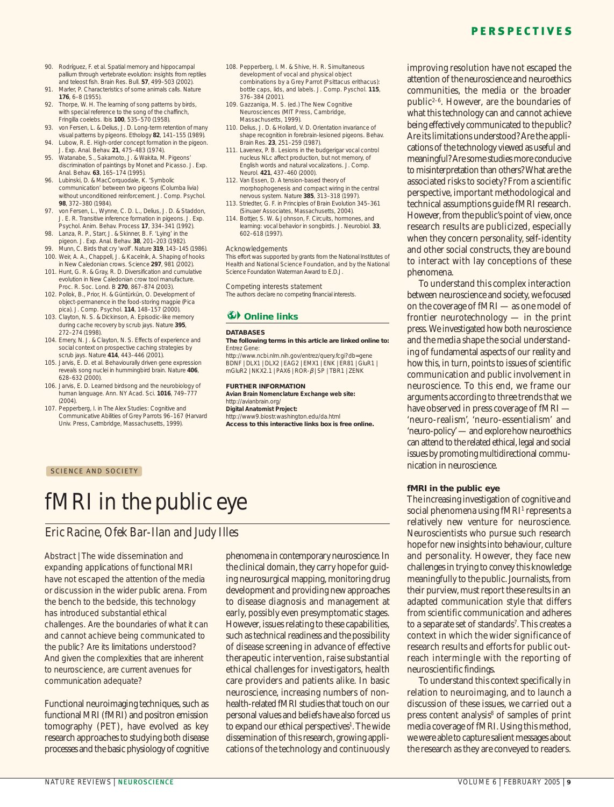- 90. Rodríguez, F. *et al.* Spatial memory and hippocampal pallium through vertebrate evolution: insights from reptiles and teleost fish. *Brain Res. Bull.* **57**, 499–503 (2002).
- 91. Marler, P. Characteristics of some animals calls. *Nature* **176**, 6–8 (1955).
- 92. Thorpe, W. H. The learning of song patterns by birds, with special reference to the song of the chaffinch, *Fringilla coelebs*. *Ibis* **100**, 535–570 (1958).
- 93. von Fersen, L. & Delius, J. D. Long-term retention of many visual patterns by pigeons. *Ethology* **82**, 141–155 (1989). 94. Lubow, R. E. High-order concept formation in the pigeon.
- *J. Exp. Anal. Behav.* **21**, 475–483 (1974). 95. Watanabe, S., Sakamoto, J. & Wakita, M. Pigeons'
- discrimination of paintings by Monet and Picasso. *J. Exp. Anal. Behav.* **63**, 165–174 (1995). 96. Lubinski, D. & MacCorquodale, K. 'Symbolic communication' between two pigeons (*Columba livia*)
- without unconditioned reinforcement. *J. Comp. Psychol.* **98**, 372–380 (1984). 97. von Fersen, L., Wynne, C. D. L., Delius, J. D. & Staddon, J. E. R. Transitive inference formation in pigeons. *J. Exp.*
- *Psychol. Anim. Behav. Process* **17**, 334–341 (1992). 98. Lanza, R. P., Starr, J. & Skinner, B. F. 'Lying' in the
- pigeon. *J. Exp. Anal. Behav.* **38**, 201–203 (1982).
- 99. Munn, C. Birds that cry 'wolf'. *Nature* **319**, 143–145 (1986). 100. Weir, A. A., Chappell, J. & Kacelnik, A. Shaping of hooks in New Caledonian crows. *Science* **297**, 981 (2002).
- 101. Hunt, G. R. & Gray, R. D. Diversification and cumulative evolution in New Caledonian crow tool manufacture *Proc. R. Soc. Lond. B* **270**, 867–874 (2003).
- 102. Pollok, B., Prior, H. & Güntürkün, O. Development of object-permanence in the food-storing magpie (*Pica pica*). *J. Comp. Psychol.* **114**, 148–157 (2000).
- 103. Clayton, N. S. & Dickinson, A. Episodic-like memory during cache recovery by scrub jays. *Nature* **395**, 272–274 (1998).
- 104. Emery, N. J. & Clayton, N. S. Effects of experience and social context on prospective caching strategies by scrub jays. *Nature* **414**, 443–446 (2001).
- 105. Jarvis, E. D. *et al.* Behaviourally driven gene expression reveals song nuclei in hummingbird brain. *Nature* **406**, 628–632 (2000).
- 106. Jarvis, E. D. Learned birdsong and the neurobiology of human language. *Ann. NY Acad. Sci.* **1016**, 749–777 (2004).
- 107. Pepperberg, I. in *The Alex Studies: Cognitive and Communicative Abilities of Grey Parrots* 96–167 (Harvard Univ. Press, Cambridge, Massachusetts, 1999).
- 108. Pepperberg, I. M. & Shive, H. R. Simultaneous development of vocal and physical object combinations by a Grey Parrot (*Psittacus erithacus*): bottle caps, lids, and labels. *J. Comp. Pyschol.* **115**, 376–384 (2001).
- 109. Gazzaniga, M. S. (ed.) *The New Cognitive Neurosciences* (MIT Press, Cambridge, Massachusetts, 1999).
- 110. Delius, J. D. & Hollard, V. D. Orientation invariance of shape recognition in forebrain-lesioned pigeons. *Behav. Brain Res.* **23**, 251–259 (1987).
- 111. Lavenex, P. B. Lesions in the budgerigar vocal control nucleus NLc affect production, but not memory, of English words and natural vocalizations. *J. Comp. Neurol.* **421**, 437–460 (2000).
- 112. Van Essen, D. A tension-based theory of morphophogenesis and compact wiring in the central nervous system. *Nature* **385**, 313–318 (1997).
- 113. Striedter, G. F. in *Principles of Brain Evolution* 345–361
- (Sinuaer Associates, Massachusetts, 2004). 114. Bottjer, S. W. & Johnson, F. Circuits, hormones, and learning: vocal behavior in songbirds. *J. Neurobiol.* **33**, 602–618 (1997).

#### Acknowledgements

This effort was supported by grants from the National Institutes of Health and National Science Foundation, and by the National Science Foundation Waterman Award to E.D.J.

Competing interests statement The authors declare no competing financial interests.

# **Online links**

#### **DATABASES**

#### **The following terms in this article are linked online to:** Entrez Gene:

http://www.ncbi.nlm.nih.gov/entrez/query.fcgi?db=gene *BDNF* | *DLX1* | *DLX2* | *EAG2* | *EMX1* | *ENK* | *ER81* | *GluR1* | *mGluR2* | *NKX2.1* | *PAX6 | ROR-*β | SP | *TBR1* | *ZENK*

# **FURTHER INFORMATION**

**Avian Brain Nomenclature Exchange web site:** http://avianbrain.org/ **Digital Anatomist Project:**

http://www9.biostr.washington.edu/da.html **Access to this interactive links box is free online.**

## SCIENCE AND SOCIETY

# fMRI in the public eye

# *Eric Racine, Ofek Bar-Ilan and Judy Illes*

Abstract | The wide dissemination and expanding applications of functional MRI have not escaped the attention of the media or discussion in the wider public arena. From the bench to the bedside, this technology has introduced substantial ethical challenges. Are the boundaries of what it can and cannot achieve being communicated to the public? Are its limitations understood? And given the complexities that are inherent to neuroscience, are current avenues for communication adequate?

Functional neuroimaging techniques, such as functional MRI (fMRI) and positron emission tomography (PET), have evolved as key research approaches to studying both disease processes and the basic physiology of cognitive

phenomena in contemporary neuroscience. In the clinical domain, they carry hope for guiding neurosurgical mapping, monitoring drug development and providing new approaches to disease diagnosis and management at early, possibly even presymptomatic stages. However, issues relating to these capabilities, such as technical readiness and the possibility of disease screening in advance of effective therapeutic intervention, raise substantial ethical challenges for investigators, health care providers and patients alike. In basic neuroscience, increasing numbers of nonhealth-related fMRI studies that touch on our personal values and beliefs have also forced us to expand our ethical perspectives<sup>1</sup>. The wide dissemination of this research, growing applications of the technology and continuously

improving resolution have not escaped the attention of the neuroscience and neuroethics communities, the media or the broader public<sup> $2-6$ </sup>. However, are the boundaries of what this technology can and cannot achieve being effectively communicated to the public? Are its limitations understood? Are the applications of the technology viewed as useful and meaningful? Are some studies more conducive to misinterpretation than others? What are the associated risks to society? From a scientific perspective, important methodological and technical assumptions guide fMRI research. However, from the public's point of view, once research results are publicized, especially when they concern personality, self-identity and other social constructs, they are bound to interact with lay conceptions of these phenomena.

To understand this complex interaction between neuroscience and society, we focused on the coverage of fMRI — as one model of frontier neurotechnology — in the print press. We investigated how both neuroscience and the media shape the social understanding of fundamental aspects of our reality and how this, in turn, points to issues of scientific communication and public involvement in neuroscience. To this end, we frame our arguments according to three trends that we have observed in press coverage of fMRI — 'neuro-realism', 'neuro-essentialism' and 'neuro-policy'— and explore how neuroethics can attend to the related ethical, legal and social issues by promoting multidirectional communication in neuroscience.

# **fMRI in the public eye**

The increasing investigation of cognitive and social phenomena using fMRI<sup>1</sup> represents a relatively new venture for neuroscience. Neuroscientists who pursue such research hope for new insights into behaviour, culture and personality. However, they face new challenges in trying to convey this knowledge meaningfully to the public. Journalists, from their purview, must report these results in an adapted communication style that differs from scientific communication and adheres to a separate set of standards<sup>7</sup>. This creates a context in which the wider significance of research results and efforts for public outreach intermingle with the reporting of neuroscientific findings.

To understand this context specifically in relation to neuroimaging, and to launch a discussion of these issues, we carried out a press content analysis<sup>8</sup> of samples of print media coverage of fMRI. Using this method, wewere able to capture salient messages about the research as they are conveyed to readers.

# PERSPECTIVES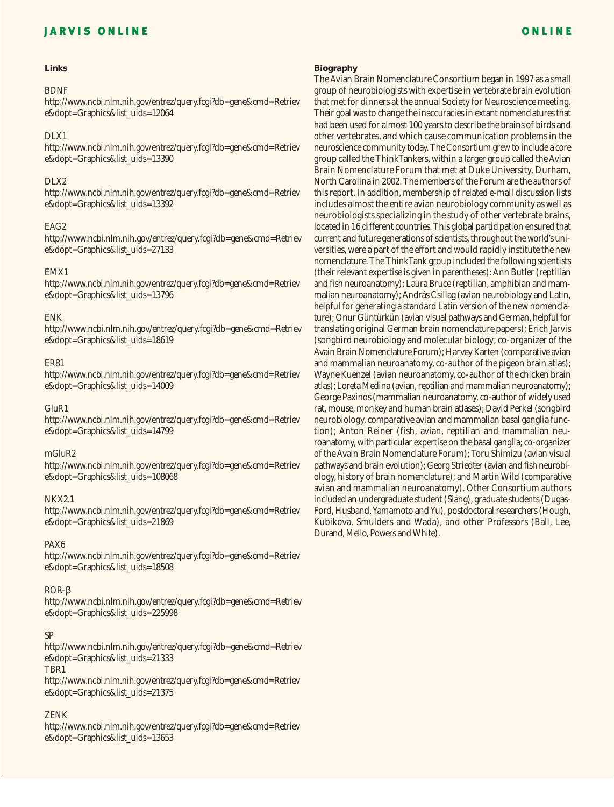# JARVIS ONLINE ONLINE

# **Links**

# BDNF

http://www.ncbi.nlm.nih.gov/entrez/query.fcgi?db=gene&cmd=Retriev e&dopt=Graphics&list\_uids=12064

# DLX1

http://www.ncbi.nlm.nih.gov/entrez/query.fcgi?db=gene&cmd=Retriev e&dopt=Graphics&list\_uids=13390

# DLX<sub>2</sub>

http://www.ncbi.nlm.nih.gov/entrez/query.fcgi?db=gene&cmd=Retriev e&dopt=Graphics&list\_uids=13392

# EAG2

http://www.ncbi.nlm.nih.gov/entrez/query.fcgi?db=gene&cmd=Retriev e&dopt=Graphics&list\_uids=27133

# EMX1

http://www.ncbi.nlm.nih.gov/entrez/query.fcgi?db=gene&cmd=Retriev e&dopt=Graphics&list\_uids=13796

# ENK

http://www.ncbi.nlm.nih.gov/entrez/query.fcgi?db=gene&cmd=Retriev e&dopt=Graphics&list\_uids=18619

## ER81

http://www.ncbi.nlm.nih.gov/entrez/query.fcgi?db=gene&cmd=Retriev e&dopt=Graphics&list\_uids=14009

# GluR1

http://www.ncbi.nlm.nih.gov/entrez/query.fcgi?db=gene&cmd=Retriev e&dopt=Graphics&list\_uids=14799

## mGluR2

http://www.ncbi.nlm.nih.gov/entrez/query.fcgi?db=gene&cmd=Retriev e&dopt=Graphics&list\_uids=108068

## NKX2.1

http://www.ncbi.nlm.nih.gov/entrez/query.fcgi?db=gene&cmd=Retriev e&dopt=Graphics&list\_uids=21869

# PAX6

http://www.ncbi.nlm.nih.gov/entrez/query.fcgi?db=gene&cmd=Retriev e&dopt=Graphics&list\_uids=18508

## ROR-β

http://www.ncbi.nlm.nih.gov/entrez/query.fcgi?db=gene&cmd=Retriev e&dopt=Graphics&list\_uids=225998

## SP

http://www.ncbi.nlm.nih.gov/entrez/query.fcgi?db=gene&cmd=Retriev e&dopt=Graphics&list\_uids=21333

# TBR1

http://www.ncbi.nlm.nih.gov/entrez/query.fcgi?db=gene&cmd=Retriev e&dopt=Graphics&list\_uids=21375

# ZENK

http://www.ncbi.nlm.nih.gov/entrez/query.fcgi?db=gene&cmd=Retriev e&dopt=Graphics&list\_uids=13653

# **Biography**

The Avian Brain Nomenclature Consortium began in 1997 as a small group of neurobiologists with expertise in vertebrate brain evolution that met for dinners at the annual Society for Neuroscience meeting. Their goal was to change the inaccuracies in extant nomenclatures that had been used for almost 100 years to describe the brains of birds and other vertebrates, and which cause communication problems in the neuroscience community today. The Consortium grew to include a core group called the ThinkTankers, within a larger group called the Avian Brain Nomenclature Forum that met at Duke University, Durham, North Carolina in 2002. The members of the Forum are the authors of this report. In addition, membership of related e-mail discussion lists includes almost the entire avian neurobiology community as well as neurobiologists specializing in the study of other vertebrate brains, located in 16 different countries. This global participation ensured that current and future generations of scientists, throughout the world's universities, were a part of the effort and would rapidly institute the new nomenclature. The ThinkTank group included the following scientists (their relevant expertise is given in parentheses): Ann Butler (reptilian and fish neuroanatomy); Laura Bruce (reptilian, amphibian and mammalian neuroanatomy); András Csillag (avian neurobiology and Latin, helpful for generating a standard Latin version of the new nomenclature); Onur Güntürkün (avian visual pathways and German, helpful for translating original German brain nomenclature papers); Erich Jarvis (songbird neurobiology and molecular biology; co-organizer of the Avain Brain Nomenclature Forum); Harvey Karten (comparative avian and mammalian neuroanatomy, co-author of the pigeon brain atlas); Wayne Kuenzel (avian neuroanatomy, co-author of the chicken brain atlas); Loreta Medina (avian, reptilian and mammalian neuroanatomy); George Paxinos (mammalian neuroanatomy, co-author of widely used rat, mouse, monkey and human brain atlases); David Perkel (songbird neurobiology, comparative avian and mammalian basal ganglia function); Anton Reiner (fish, avian, reptilian and mammalian neuroanatomy, with particular expertise on the basal ganglia; co-organizer of the Avain Brain Nomenclature Forum); Toru Shimizu (avian visual pathways and brain evolution); Georg Striedter (avian and fish neurobiology, history of brain nomenclature); and Martin Wild (comparative avian and mammalian neuroanatomy). Other Consortium authors included an undergraduate student (Siang), graduate students (Dugas-Ford, Husband, Yamamoto and Yu), postdoctoral researchers (Hough, Kubikova, Smulders and Wada), and other Professors (Ball, Lee, Durand, Mello, Powers and White).